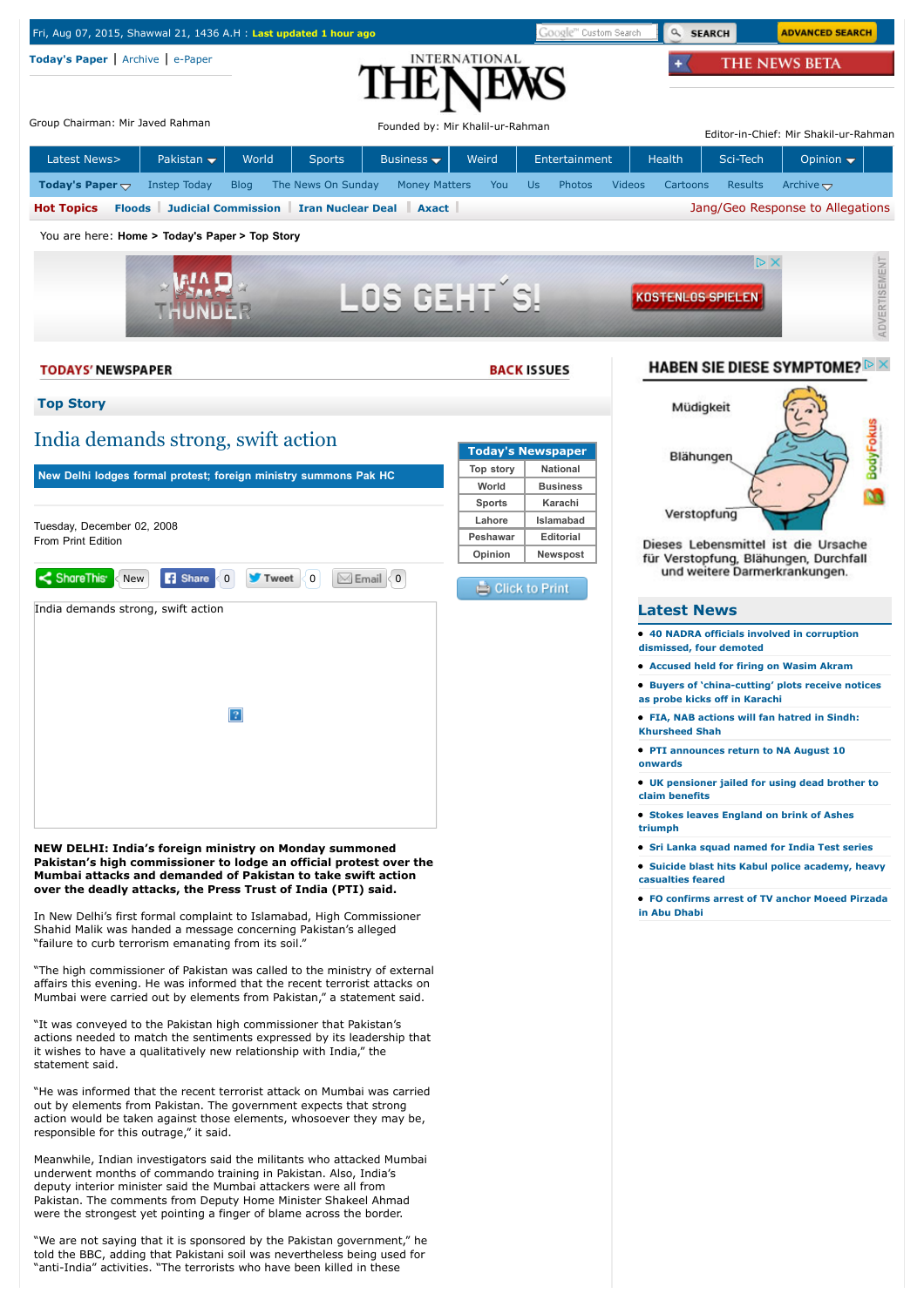